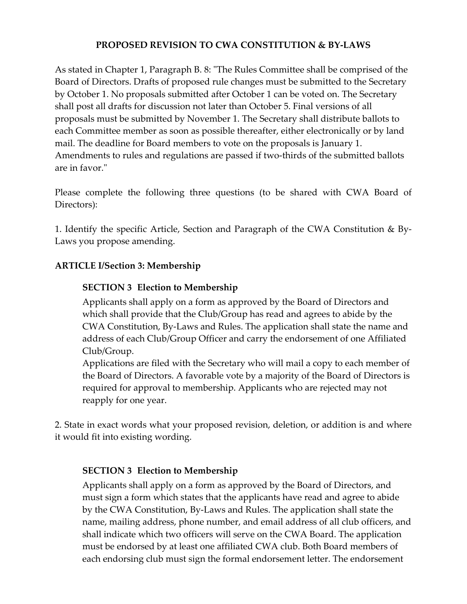## **PROPOSED REVISION TO CWA CONSTITUTION & BY‐LAWS**

As stated in Chapter 1, Paragraph B. 8: "The Rules Committee shall be comprised of the Board of Directors. Drafts of proposed rule changes must be submitted to the Secretary by October 1. No proposals submitted after October 1 can be voted on. The Secretary shall post all drafts for discussion not later than October 5. Final versions of all proposals must be submitted by November 1. The Secretary shall distribute ballots to each Committee member as soon as possible thereafter, either electronically or by land mail. The deadline for Board members to vote on the proposals is January 1. Amendments to rules and regulations are passed if two-thirds of the submitted ballots are in favor."

Please complete the following three questions (to be shared with CWA Board of Directors):

1. Identify the specific Article, Section and Paragraph of the CWA Constitution & By‐ Laws you propose amending.

## **ARTICLE I/Section 3: Membership**

## **SECTION 3 Election to Membership**

Applicants shall apply on a form as approved by the Board of Directors and which shall provide that the Club/Group has read and agrees to abide by the CWA Constitution, By‐Laws and Rules. The application shall state the name and address of each Club/Group Officer and carry the endorsement of one Affiliated Club/Group.

Applications are filed with the Secretary who will mail a copy to each member of the Board of Directors. A favorable vote by a majority of the Board of Directors is required for approval to membership. Applicants who are rejected may not reapply for one year.

2. State in exact words what your proposed revision, deletion, or addition is and where it would fit into existing wording.

## **SECTION 3 Election to Membership**

Applicants shall apply on a form as approved by the Board of Directors, and must sign a form which states that the applicants have read and agree to abide by the CWA Constitution, By‐Laws and Rules. The application shall state the name, mailing address, phone number, and email address of all club officers, and shall indicate which two officers will serve on the CWA Board. The application must be endorsed by at least one affiliated CWA club. Both Board members of each endorsing club must sign the formal endorsement letter. The endorsement